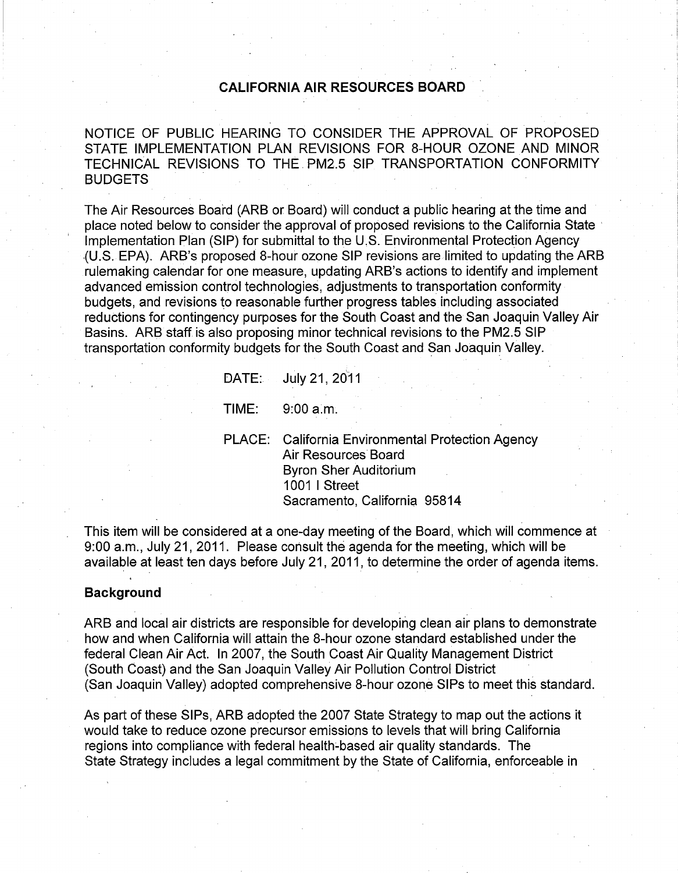# CALIFORNIA AIR RESOURCES BOARD

NOTICE OF PUBLIC HEARING TO CONSIDER THE APPROVAL OF PROPOSED STATE IMPLEMENTATION PLAN REVISIONS FOR 8-HOUR OZONE AND MINOR TECHNICAL REVISIONS TO THE PM2.5 SIP TRANSPORTATION CONFORMITY BUDGETS

The Air Resources Board (ARB or Board) will conduct a public hearing at the time and place noted below to consider the approval of proposed revisions to the California State Implementation Plan (SIP) for submittal to the U.S. Environmental Protection Agency (U.S. EPA). ARB's proposed 8-hour ozone SIP revisions are limited to updating the ARB rulemaking calendar for one measure, updating ARB's actions to identify and implement advanced emission control technologies, adjustments to transportation conformity budgets, and revisions to reasonable further progress tables including associated reductions for contingency purposes for the South Coast and the San Joaquin Valley Air Basins. ARB staff is also proposing minor technical revisions to the PM2.5 SIP transportation conformity budgets for the South Coast and San Joaquin Valley.

|       | DATE: July 21, 2011                                                                                                                                       |
|-------|-----------------------------------------------------------------------------------------------------------------------------------------------------------|
| TIME: | 9:00 a.m.                                                                                                                                                 |
|       | PLACE: California Environmental Protection Agency<br>Air Resources Board<br><b>Byron Sher Auditorium</b><br>1001   Street<br>Sacramento, California 95814 |

This item will be considered at a one-day meeting of the Board, which will commence at 9:00 a.m., July 21, 2011. Please consult the agenda for the meeting, which will be available at least ten days before July 21, 2011, to determine the order of agenda items.

#### Background

ARB and local air districts are responsible for developing clean air plans to demonstrate how and when California will attain the 8-hour ozone standard established under the federal Clean Air Act. In 2007, the South Coast Air Quality Management District (South Coast) and the San Joaquin Valley Air Pollution Control District (San Joaquin Valley) adopted comprehensive 8-hour ozone SIPs to meet this standard.

As part of these SIPs, ARB adopted the 2007 State Strategy to map out the actions it would take to reduce ozone precursor emissions to levels that will bring California regions into compliance with federal health-based air quality standards. The State Strategy includes a legal commitment by the State of California, enforceable in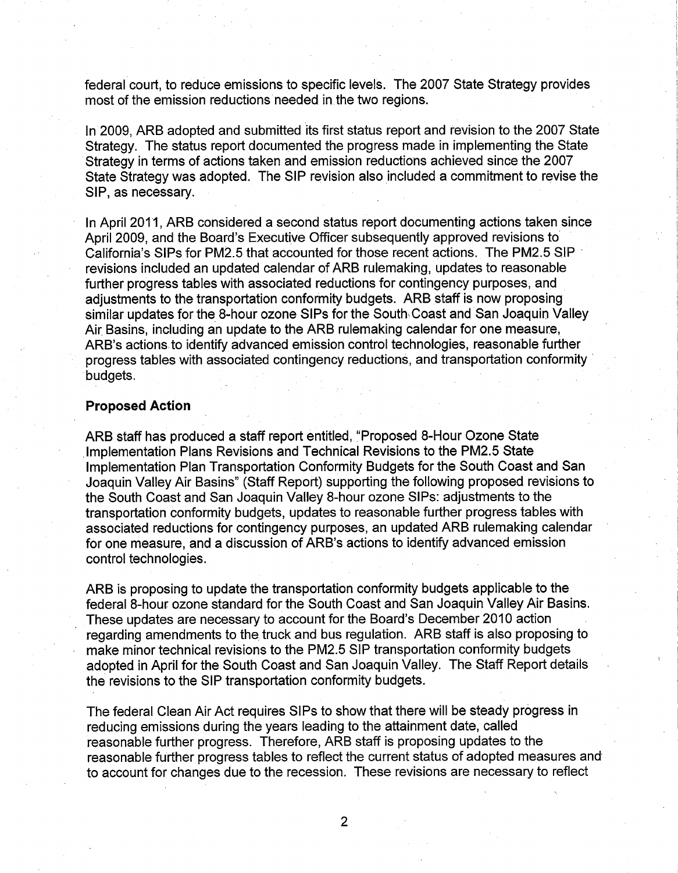federal court, to reduce emissions to specific levels. The 2007 State Strategy provides most of the emission reductions needed in the two regions.

In 2009, ARB adopted and submitted its first status report and revision to the 2007 State Strategy. The status report documented the progress made in implementing the State Strategy in terms of actions taken and emission reductions achieved since the 2007 State Strategy was adopted. The SIP revision also included a commitment to revise the SIP, as necessary.

In April 2011, ARB considered a second status report documenting actions taken since April 2009, and the Board's Executive Officer subsequently approved revisions to California's SIPs for PM2.5 that accounted for those recent actions. The PM2.5 SIP revisions included an updated calendar of ARB rulemaking, updates to reasonable further progress tables with associated reductions for contingency purposes, and adjustments to the transportation conformity budgets. ARB staff is now proposing similar updates for the 8-hour ozone SIPs for the South Coast and San Joaquin Valley Air Basins, including an update to the ARB rulemaking calendar for one measure, ARB's actions to identify advanced emission control technologies, reasonable further progress tables with associated contingency reductions, and transportation conformity budgets.

#### Proposed Action

ARB staff has produced a staff report entitled, "Proposed 8-Hour Ozone State Implementation Plans Revisions and Technical Revisions to the PM2.5 State Implementation Plan Transportation Conformity Budgets for the South Coast and San Joaquin Valley Air Basins" (Staff Report) supporting the following proposed revisions to the South Coast and San Joaquin Valley 8-hour ozone SIPs: adjustments to the transportation conformity budgets, updates to reasonable further progress tables with associated reductions for contingency purposes, an updated ARB rulemaking calendar for one measure, and a discussion of ARB's actions to identify advanced emission control technologies.

ARB is proposing to update the transportation conformity budgets applicable to the federal 8-hour ozone standard for the South Coast and San Joaquin Valley Air Basins. These updates are necessary to account for the Board's December 2010 action<br>regarding amendments to the truck and bus regulation. ARB staff is also proposing to regarding amendments to the truck and bus regulation. ARB staff is also proposing to make minor technical revisions to the PM2.5 SIP transportation conformity budgets adopted in April for the South Coast and San Joaquin Valley. The Staff Report details the revisions to the SIP transportation conformity budgets.

The federal Clean Air Act requires SIPs to show that there will be steady progress in reducing emissions during the years leading to the attainment date, called reasonable further progress. Therefore, ARB staff is proposing updates to the reasonable further progress tables to reflect the current status of adopted measures and to account for changes due to the recession. These revisions are necessary to reflect

2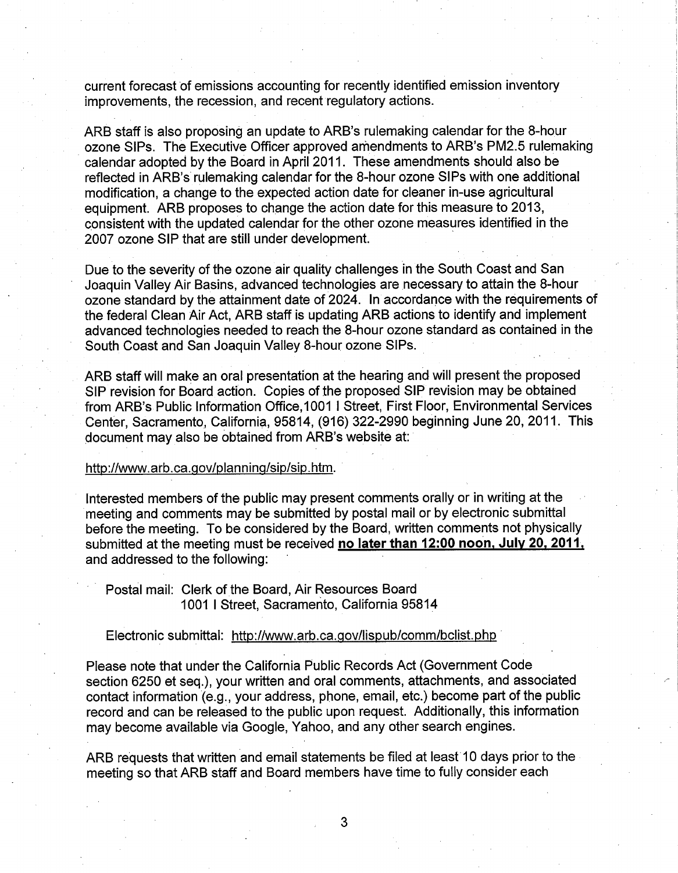current forecast of emissions accounting for recently identified emission inventory improvements, the recession, and recent regulatory actions.

ARB staff is also proposing an update to ARB's rulemaking calendar for the 8-hour ozone SIPs. The Executive Officer approved amendments to ARB's PM2.5 rulemaking calendar adopted by the Board in April 2011. These amendments should also be reflected in ARB's rulemaking calendar for the 8-hour ozone SIPs with one additional modification, a change to the expected action date for cleaner in-use agricultural equipment. ARB proposes to change the action date for this measure to 2013, consistent with the updated calendar for the other ozone measures identified in the 2007 ozone SIP that are still under development.

Due to the severity of the ozone air quality challenges in the South Coast and San Joaquin Valley Air Basins, advanced technologies are necessary to attain the 8-hour ozone standard by the attainment date of 2024. In accordance with the requirements of the federal Clean Air Act, ARB staff is updating ARB actions to identify and implement advanced technologies needed to reach the 8-hour ozone standard as contained in the South Coast and San Joaquin Valley 8-hour ozone SIPs.

ARB staff will make an oral presentation at the hearing and will present the proposed SIP revision for Board action. Copies of the proposed SIP revision may be obtained from ARB's Public Information Office, 1001 1 Street, First Floor, Environmental Services Center, Sacramento, California, 95814, (916) 322-2990 beginning June 20, 2011. This document may also be obtained from ARB's website at:

### [http://www.arb.ca.gov/planning/sip/sip.htm.](http://www.arb.ca.gov/planning/sip/sip.htm)

Interested members of the public may present comments orally or in writing at the meeting and comments may be submitted by postal mail or by electronic submittal before the meeting. To be considered by the Board, written comments not physically submitted at the meeting must be received no later than 12:00 noon, July 20, 2011. and addressed to the following:

Postal mail: Clerk of the Board, Air Resources Board 1001 1 Street, Sacramento, California 95814

## Electronic submittal:<http://www.arb.ca.gov/lispub/comm/bclist.php>

Please note that under the California Public Records Act (Government Code section 6250 et seq.), your written and oral comments, attachments, and associated contact information (e.g., your address, phone, email, etc.) become part of the public record and can be released to the public upon request. Additionally, this information may become available via Google, Yahoo, and any other search engines.

ARB requests that written and email statements be filed at least 10 days prior to the meeting so that ARB staff and Board members have time to fully consider each